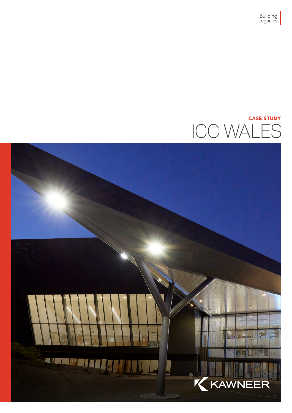## ICC WALES CASE STUDY

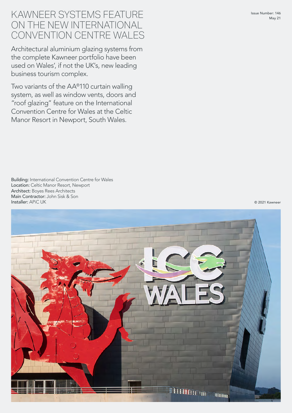## KAWNEER SYSTEMS FEATURE ON THE NEW INTERNATIONAL CONVENTION CENTRE WALES

Architectural aluminium glazing systems from the complete Kawneer portfolio have been used on Wales', if not the UK's, new leading business tourism complex.

Two variants of the AA®110 curtain walling system, as well as window vents, doors and "roof glazing" feature on the International Convention Centre for Wales at the Celtic Manor Resort in Newport, South Wales.

© 2021 Kawneer

Location: Celtic Manor Resort, Newport Architect: Boyes Rees Architects Main Contractor: John Sisk & Son Installer: APiC UK

Building: International Convention Centre for Wales

© 2021 Kawneer

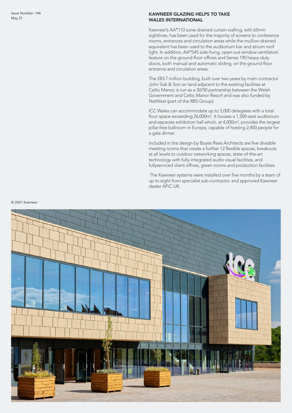## KAWNEER GLAZING HELPS TO TAKE WALES INTERNATIONAL

Kawneer's AA ®110 zone-drained curtain walling, with 65mm sightlines, has been used for the majority of screens to conference rooms, entrances and circulation areas while the mullion-drained equivalent has been used to the auditorium bar and atrium roof light. In addition, AA ®545 side-hung, open-out window ventilators feature on the ground-floor offices and Series 190 heavy-duty doors, both manual and automatic sliding, on the ground-floor entrance and circulation areas.

The £83.7 million building, built over two years by main contractor John Sisk & Son on land adjacent to the existing facilities at Celtic Manor, is run as a 50/50 partnership between the Welsh Government and Celtic Manor Resort and was also funded by NatWest (part of the RBS Group).

ICC Wales can accommodate up to 5,000 delegates with a total floor space exceeding 26,000m 2 . It houses a 1,500-seat auditorium and separate exhibition hall which, at 4,000m 2 , provides the largest pillar-free ballroom in Europe, capable of hosting 2,400 people for a gala dinner.

Included in the design by Boyes Rees Architects are five divisible meeting rooms that create a further 12 flexible spaces, breakouts at all levels to outdoor networking spaces, state-of-the-art technology with fully-integrated audio visual facilities, and fullyserviced client offices, green rooms and production facilities.

 The Kawneer systems were installed over five months by a team of up to eight from specialist sub-contractor and approved Kawneer dealer APiC UK.



© 2021 Kawneer